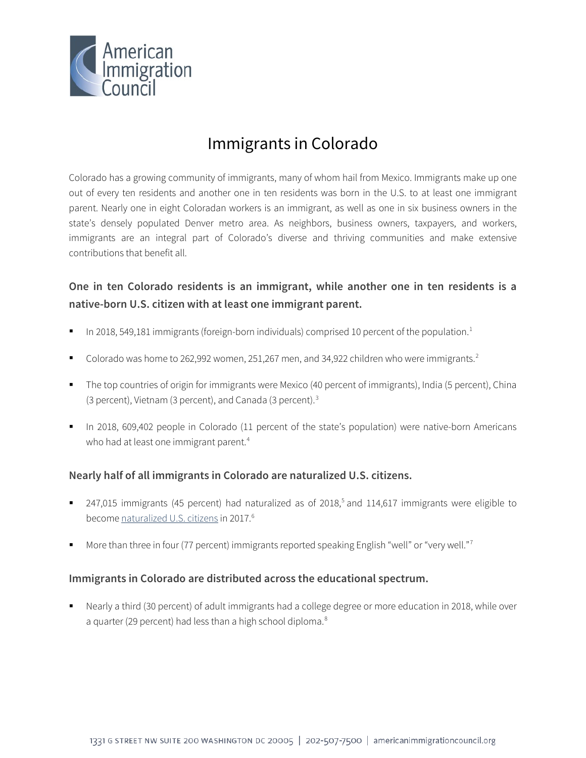

# Immigrants in Colorado

Colorado has a growing community of immigrants, many of whom hail from Mexico. Immigrants make up one out of every ten residents and another one in ten residents was born in the U.S. to at least one immigrant parent. Nearly one in eight Coloradan workers is an immigrant, as well as one in six business owners in the state's densely populated Denver metro area. As neighbors, business owners, taxpayers, and workers, immigrants are an integral part of Colorado's diverse and thriving communities and make extensive contributions that benefit all.

# **One in ten Colorado residents is an immigrant, while another one in ten residents is a native-born U.S. citizen with at least one immigrant parent.**

- In 20[1](#page-4-0)8, 549,181 immigrants (foreign-born individuals) comprised 10 percent of the population.<sup>1</sup>
- Colorado was home to [2](#page-4-1)62,992 women, 251,267 men, and 34,922 children who were immigrants.<sup>2</sup>
- The top countries of origin for immigrants were Mexico (40 percent of immigrants), India (5 percent), China (3 percent), Vietnam (3 percent), and Canada (3 percent).[3](#page-4-2)
- In 2018, 609,402 people in Colorado (11 percent of the state's population) were native-born Americans who had at least one immigrant parent.<sup>[4](#page-4-3)</sup>

### **Nearly half of all immigrants in Colorado are naturalized U.S. citizens.**

- 247,01[5](#page-4-4) immigrants (45 percent) had naturalized as of 2018,<sup>5</sup> and 114,617 immigrants were eligible to become [naturalized U.S. citizens](http://data.cmsny.org/state.html) in 2017.<sup>[6](#page-4-5)</sup>
- More than three in four ([7](#page-4-6)7 percent) immigrants reported speaking English "well" or "very well."<sup>7</sup>

### **Immigrants in Colorado are distributed across the educational spectrum.**

 Nearly a third (30 percent) of adult immigrants had a college degree or more education in 2018, while over a quarter (29 percent) had less than a high school diploma.<sup>[8](#page-4-7)</sup>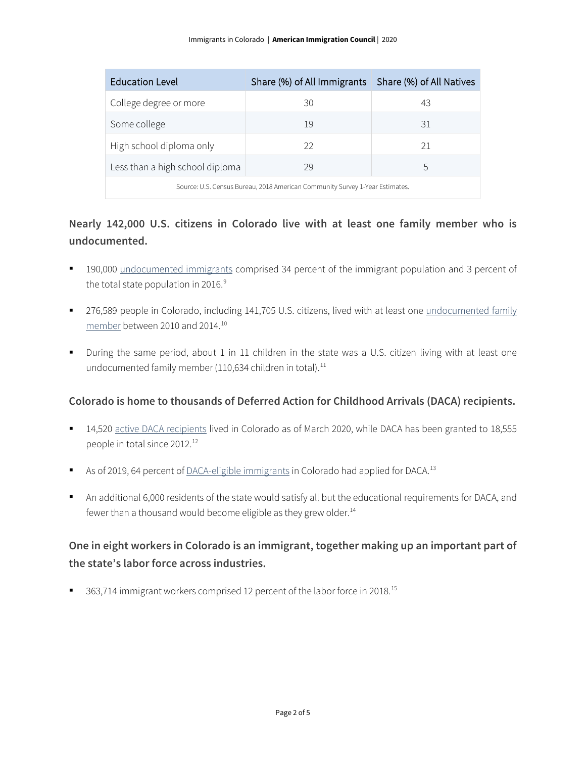| <b>Education Level</b>                                                       | Share (%) of All Immigrants   Share (%) of All Natives |    |  |
|------------------------------------------------------------------------------|--------------------------------------------------------|----|--|
| College degree or more                                                       | 30                                                     | 43 |  |
| Some college                                                                 | 19                                                     | 31 |  |
| High school diploma only                                                     | 22                                                     | 21 |  |
| Less than a high school diploma                                              | 29                                                     | 5  |  |
| Source: U.S. Census Bureau, 2018 American Community Survey 1-Year Estimates. |                                                        |    |  |

## **Nearly 142,000 U.S. citizens in Colorado live with at least one family member who is undocumented.**

- 190,000 [undocumented immigrants](http://www.pewhispanic.org/interactives/unauthorized-immigrants/) comprised 34 percent of the immigrant population and 3 percent of the total state population in 2016.<sup>[9](#page-4-8)</sup>
- **276,589 people in Colorado, including 141,705 U.S. citizens, lived with at least one undocumented family** [member](https://www.americanprogress.org/issues/immigration/news/2017/03/16/427868/state-state-estimates-family-members-unauthorized-immigrants/) between 2010 and 2014.[10](#page-4-9)
- During the same period, about 1 in 11 children in the state was a U.S. citizen living with at least one undocumented family member ([11](#page-4-10)0,634 children in total).<sup>11</sup>

### **Colorado is home to thousands of Deferred Action for Childhood Arrivals (DACA) recipients.**

- 14,520 [active DACA recipients](https://www.uscis.gov/sites/default/files/document/data/Approximate%20Active%20DACA%20Receipts%20-%20March%2031%2C%202020.pdf) lived in Colorado as of March 2020, while DACA has been granted to 18,555 people in total since 20[12](#page-4-11).<sup>12</sup>
- As of 2019, 64 percent of **DACA-eligible immigrants** in Colorado had applied for DACA.<sup>[13](#page-4-12)</sup>
- An additional 6,000 residents of the state would satisfy all but the educational requirements for DACA, and fewer than a thousand would become eligible as they grew older.<sup>[14](#page-4-13)</sup>

# **One in eight workers in Colorado is an immigrant, together making up an important part of the state's labor force across industries.**

■ 363,714 immigrant workers comprised 12 percent of the labor force in 2018.<sup>[15](#page-4-14)</sup>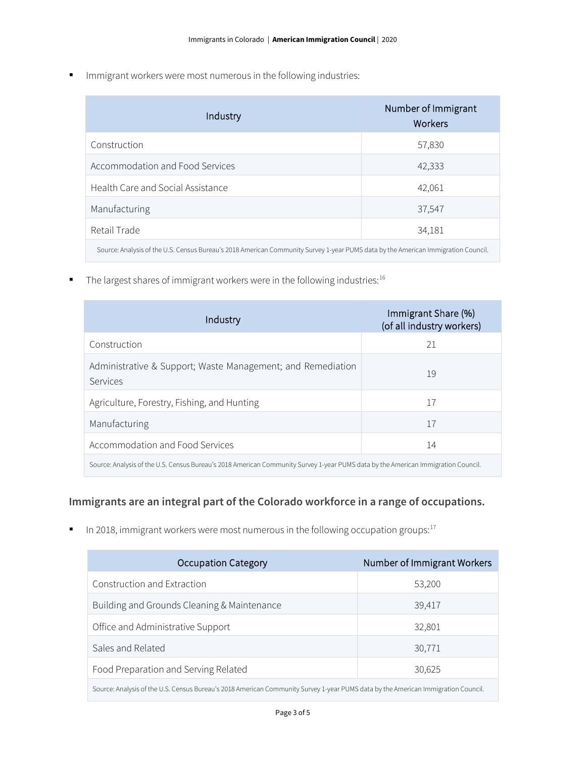**IMMI** Immigrant workers were most numerous in the following industries:

| Industry                                                                                                                          | Number of Immigrant<br><b>Workers</b> |  |
|-----------------------------------------------------------------------------------------------------------------------------------|---------------------------------------|--|
| Construction                                                                                                                      | 57,830                                |  |
| Accommodation and Food Services                                                                                                   | 42,333                                |  |
| Health Care and Social Assistance                                                                                                 | 42,061                                |  |
| Manufacturing                                                                                                                     | 37,547                                |  |
| Retail Trade                                                                                                                      | 34,181                                |  |
| Source: Analysis of the U.S. Census Bureau's 2018 American Community Survey 1-year PUMS data by the American Immigration Council. |                                       |  |

 $\blacksquare$  The largest shares of immigrant workers were in the following industries:  $^{16}$ 

| Industry                                                                                                                          | Immigrant Share (%)<br>(of all industry workers) |  |
|-----------------------------------------------------------------------------------------------------------------------------------|--------------------------------------------------|--|
| Construction                                                                                                                      | 21                                               |  |
| Administrative & Support; Waste Management; and Remediation<br>Services                                                           | 19                                               |  |
| Agriculture, Forestry, Fishing, and Hunting                                                                                       | 17                                               |  |
| Manufacturing                                                                                                                     | 17                                               |  |
| Accommodation and Food Services                                                                                                   | 14                                               |  |
| Source: Analysis of the U.S. Census Bureau's 2018 American Community Survey 1-year PUMS data by the American Immigration Council. |                                                  |  |

## **Immigrants are an integral part of the Colorado workforce in a range of occupations.**

In 2018, immigrant workers were most numerous in the following occupation groups: $17$ 

| <b>Occupation Category</b>                                                                                                        | Number of Immigrant Workers |  |
|-----------------------------------------------------------------------------------------------------------------------------------|-----------------------------|--|
| Construction and Extraction                                                                                                       | 53,200                      |  |
| Building and Grounds Cleaning & Maintenance                                                                                       | 39,417                      |  |
| Office and Administrative Support                                                                                                 | 32,801                      |  |
| Sales and Related                                                                                                                 | 30,771                      |  |
| Food Preparation and Serving Related                                                                                              | 30,625                      |  |
| Source: Analysis of the U.S. Census Bureau's 2018 American Community Survey 1-year PUMS data by the American Immigration Council. |                             |  |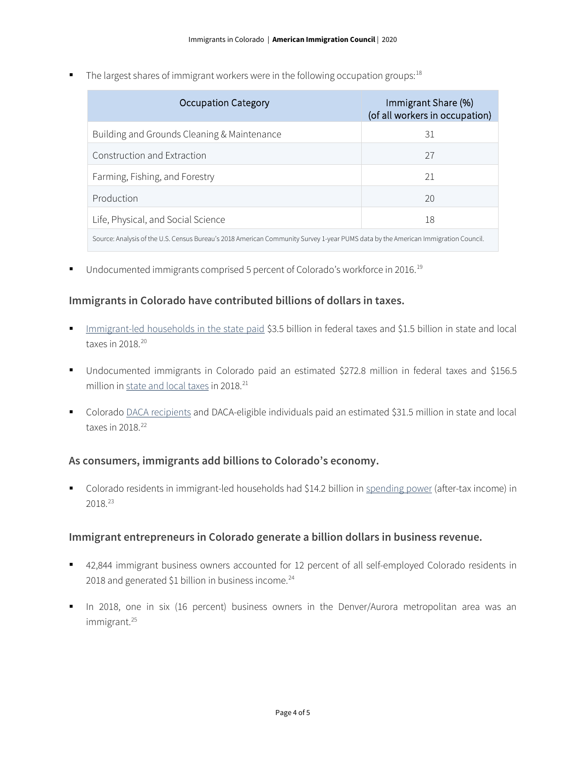The largest shares of immigrant workers were in the following occupation groups:  $18$ 

| <b>Occupation Category</b>                                                                                                        | Immigrant Share (%)<br>(of all workers in occupation) |  |
|-----------------------------------------------------------------------------------------------------------------------------------|-------------------------------------------------------|--|
| Building and Grounds Cleaning & Maintenance                                                                                       | 31                                                    |  |
| Construction and Extraction                                                                                                       | 27                                                    |  |
| Farming, Fishing, and Forestry                                                                                                    | 21                                                    |  |
| Production                                                                                                                        | 20                                                    |  |
| Life, Physical, and Social Science                                                                                                | 18                                                    |  |
| Source: Analysis of the U.S. Census Bureau's 2018 American Community Survey 1-year PUMS data by the American Immigration Council. |                                                       |  |

■ Undocumented immigrants comprised 5 percent of Colorado's workforce in 2016.<sup>[19](#page-4-18)</sup>

#### **Immigrants in Colorado have contributed billions of dollars in taxes.**

- [Immigrant-led households in the state paid](https://www.newamericaneconomy.org/locations/) \$3.5 billion in federal taxes and \$1.5 billion in state and local taxes in [20](#page-4-19)18.<sup>20</sup>
- Undocumented immigrants in Colorado paid an estimated \$272.8 million in federal taxes and \$156.5 million i[n state and local taxes](https://www.newamericaneconomy.org/locations/) in 2018.<sup>[21](#page-4-20)</sup>
- Colorado [DACA recipients](https://itep.org/state-local-tax-contributions-of-young-undocumented-immigrants/) and DACA-eligible individuals paid an estimated \$31.5 million in state and local taxes in  $2018.<sup>22</sup>$  $2018.<sup>22</sup>$  $2018.<sup>22</sup>$

#### **As consumers, immigrants add billions to Colorado's economy.**

 Colorado residents in immigrant-led households had \$14.2 billion i[n spending power](https://www.newamericaneconomy.org/locations/) (after-tax income) in 2018.[23](#page-4-22)

### **Immigrant entrepreneurs in Colorado generate a billion dollars in business revenue.**

- 42,844 immigrant business owners accounted for 12 percent of all self-employed Colorado residents in 2018 and generated \$1 billion in business income. $^{24}$  $^{24}$  $^{24}$
- In 2018, one in six (16 percent) business owners in the Denver/Aurora metropolitan area was an immigrant.[25](#page-4-24)